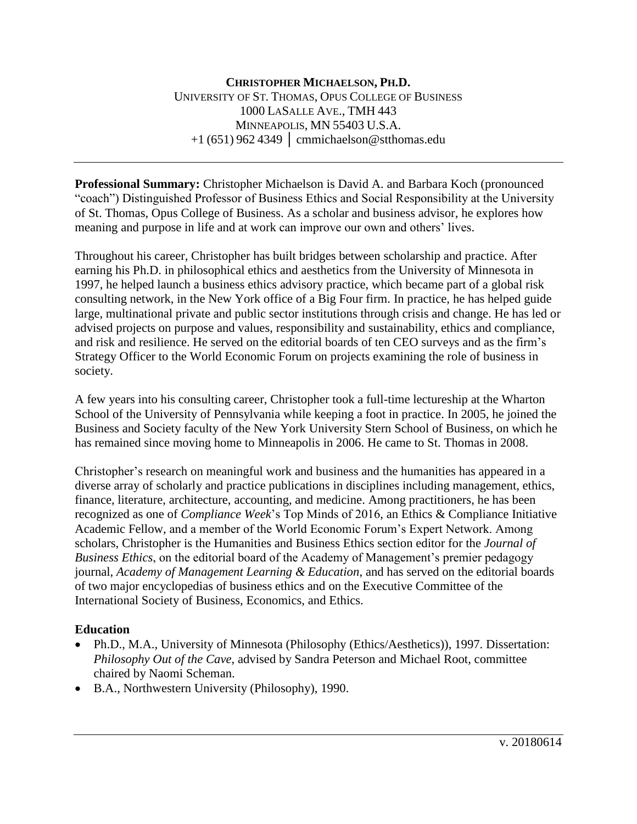**Professional Summary:** Christopher Michaelson is David A. and Barbara Koch (pronounced "coach") Distinguished Professor of Business Ethics and Social Responsibility at the University of St. Thomas, Opus College of Business. As a scholar and business advisor, he explores how meaning and purpose in life and at work can improve our own and others' lives.

Throughout his career, Christopher has built bridges between scholarship and practice. After earning his Ph.D. in philosophical ethics and aesthetics from the University of Minnesota in 1997, he helped launch a business ethics advisory practice, which became part of a global risk consulting network, in the New York office of a Big Four firm. In practice, he has helped guide large, multinational private and public sector institutions through crisis and change. He has led or advised projects on purpose and values, responsibility and sustainability, ethics and compliance, and risk and resilience. He served on the editorial boards of ten CEO surveys and as the firm's Strategy Officer to the World Economic Forum on projects examining the role of business in society.

A few years into his consulting career, Christopher took a full-time lectureship at the Wharton School of the University of Pennsylvania while keeping a foot in practice. In 2005, he joined the Business and Society faculty of the New York University Stern School of Business, on which he has remained since moving home to Minneapolis in 2006. He came to St. Thomas in 2008.

Christopher's research on meaningful work and business and the humanities has appeared in a diverse array of scholarly and practice publications in disciplines including management, ethics, finance, literature, architecture, accounting, and medicine. Among practitioners, he has been recognized as one of *Compliance Week*'s Top Minds of 2016, an Ethics & Compliance Initiative Academic Fellow, and a member of the World Economic Forum's Expert Network. Among scholars, Christopher is the Humanities and Business Ethics section editor for the *Journal of Business Ethics*, on the editorial board of the Academy of Management's premier pedagogy journal, *Academy of Management Learning & Education*, and has served on the editorial boards of two major encyclopedias of business ethics and on the Executive Committee of the International Society of Business, Economics, and Ethics.

# **Education**

- Ph.D., M.A., University of Minnesota (Philosophy (Ethics/Aesthetics)), 1997. Dissertation: *Philosophy Out of the Cave*, advised by Sandra Peterson and Michael Root, committee chaired by Naomi Scheman.
- B.A., Northwestern University (Philosophy), 1990.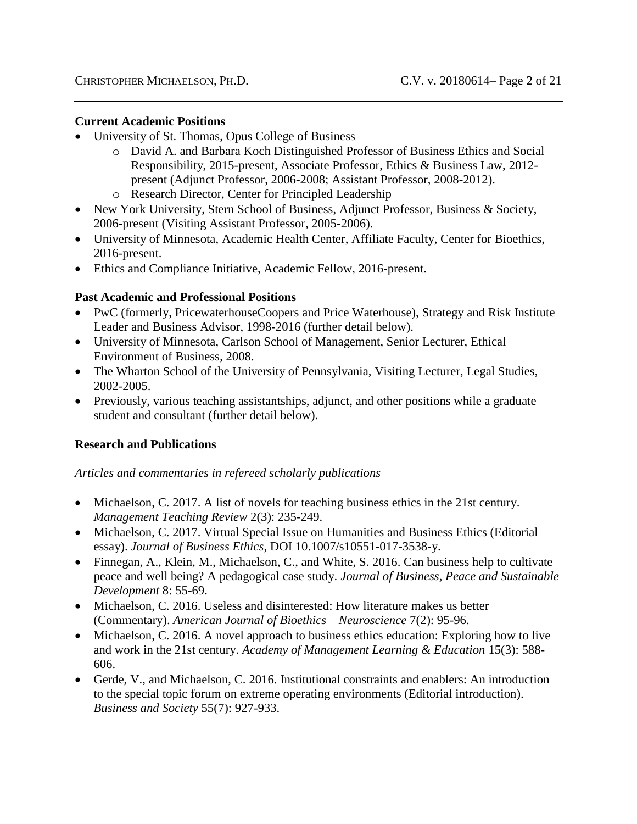#### **Current Academic Positions**

- University of St. Thomas, Opus College of Business
	- o David A. and Barbara Koch Distinguished Professor of Business Ethics and Social Responsibility, 2015-present, Associate Professor, Ethics & Business Law, 2012 present (Adjunct Professor, 2006-2008; Assistant Professor, 2008-2012).
	- o Research Director, Center for Principled Leadership
- New York University, Stern School of Business, Adjunct Professor, Business & Society, 2006-present (Visiting Assistant Professor, 2005-2006).
- University of Minnesota, Academic Health Center, Affiliate Faculty, Center for Bioethics, 2016-present.
- Ethics and Compliance Initiative, Academic Fellow, 2016-present.

### **Past Academic and Professional Positions**

- PwC (formerly, PricewaterhouseCoopers and Price Waterhouse), Strategy and Risk Institute Leader and Business Advisor, 1998-2016 (further detail below).
- University of Minnesota, Carlson School of Management, Senior Lecturer, Ethical Environment of Business, 2008.
- The Wharton School of the University of Pennsylvania, Visiting Lecturer, Legal Studies, 2002-2005.
- Previously, various teaching assistantships, adjunct, and other positions while a graduate student and consultant (further detail below).

### **Research and Publications**

#### *Articles and commentaries in refereed scholarly publications*

- Michaelson, C. 2017. A list of novels for teaching business ethics in the 21st century. *Management Teaching Review* 2(3): 235-249.
- Michaelson, C. 2017. Virtual Special Issue on Humanities and Business Ethics (Editorial essay). *Journal of Business Ethics*, DOI 10.1007/s10551-017-3538-y.
- Finnegan, A., Klein, M., Michaelson, C., and White, S. 2016. Can business help to cultivate peace and well being? A pedagogical case study. *Journal of Business, Peace and Sustainable Development* 8: 55-69.
- Michaelson, C. 2016. Useless and disinterested: How literature makes us better (Commentary). *American Journal of Bioethics – Neuroscience* 7(2): 95-96.
- Michaelson, C. 2016. A novel approach to business ethics education: Exploring how to live and work in the 21st century. *Academy of Management Learning & Education* 15(3): 588- 606.
- Gerde, V., and Michaelson, C. 2016. Institutional constraints and enablers: An introduction to the special topic forum on extreme operating environments (Editorial introduction). *Business and Society* 55(7): 927-933.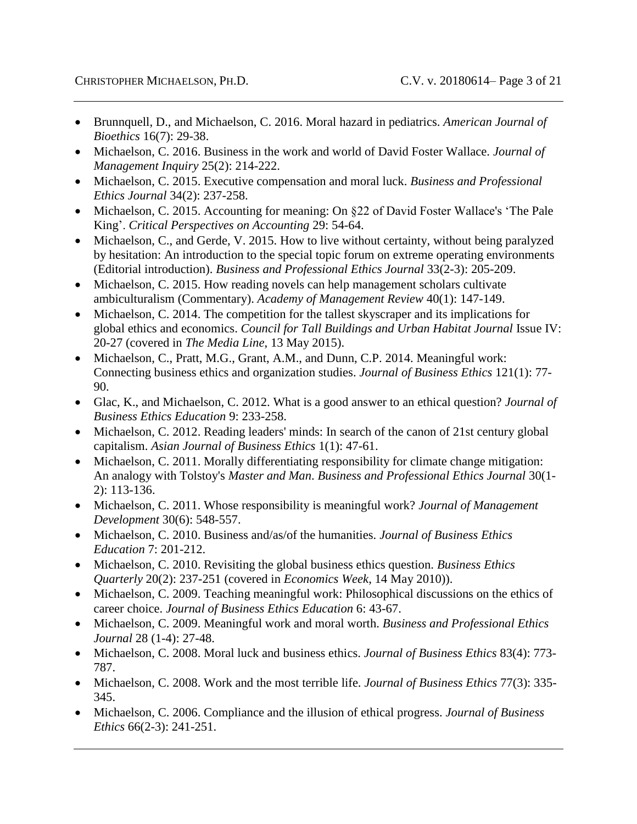- Brunnquell, D., and Michaelson, C. 2016. Moral hazard in pediatrics. *American Journal of Bioethics* 16(7): 29-38.
- Michaelson, C. 2016. Business in the work and world of David Foster Wallace. *Journal of Management Inquiry* 25(2): 214-222.
- Michaelson, C. 2015. Executive compensation and moral luck. *Business and Professional Ethics Journal* 34(2): 237-258.
- Michaelson, C. 2015. Accounting for meaning: On §22 of David Foster Wallace's 'The Pale King'. *Critical Perspectives on Accounting* 29: 54-64.
- Michaelson, C., and Gerde, V. 2015. How to live without certainty, without being paralyzed by hesitation: An introduction to the special topic forum on extreme operating environments (Editorial introduction). *Business and Professional Ethics Journal* 33(2-3): 205-209.
- Michaelson, C. 2015. How reading novels can help management scholars cultivate ambiculturalism (Commentary). *Academy of Management Review* 40(1): 147-149.
- Michaelson, C. 2014. The competition for the tallest skyscraper and its implications for global ethics and economics. *Council for Tall Buildings and Urban Habitat Journal* Issue IV: 20-27 (covered in *The Media Line*, 13 May 2015).
- Michaelson, C., Pratt, M.G., Grant, A.M., and Dunn, C.P. 2014. Meaningful work: Connecting business ethics and organization studies. *Journal of Business Ethics* 121(1): 77- 90.
- Glac, K., and Michaelson, C. 2012. What is a good answer to an ethical question? *Journal of Business Ethics Education* 9: 233-258.
- Michaelson, C. 2012. Reading leaders' minds: In search of the canon of 21st century global capitalism. *Asian Journal of Business Ethics* 1(1): 47-61.
- Michaelson, C. 2011. Morally differentiating responsibility for climate change mitigation: An analogy with Tolstoy's *Master and Man*. *Business and Professional Ethics Journal* 30(1- 2): 113-136.
- Michaelson, C. 2011. Whose responsibility is meaningful work? *Journal of Management Development* 30(6): 548-557.
- Michaelson, C. 2010. Business and/as/of the humanities. *Journal of Business Ethics Education* 7: 201-212.
- Michaelson, C. 2010. Revisiting the global business ethics question. *Business Ethics Quarterly* 20(2): 237-251 (covered in *Economics Week*, 14 May 2010)).
- Michaelson, C. 2009. Teaching meaningful work: Philosophical discussions on the ethics of career choice. *Journal of Business Ethics Education* 6: 43-67.
- Michaelson, C. 2009. Meaningful work and moral worth. *Business and Professional Ethics Journal* 28 (1-4): 27-48.
- Michaelson, C. 2008. Moral luck and business ethics. *Journal of Business Ethics* 83(4): 773- 787.
- Michaelson, C. 2008. Work and the most terrible life. *Journal of Business Ethics* 77(3): 335- 345.
- Michaelson, C. 2006. Compliance and the illusion of ethical progress. *Journal of Business Ethics* 66(2-3): 241-251.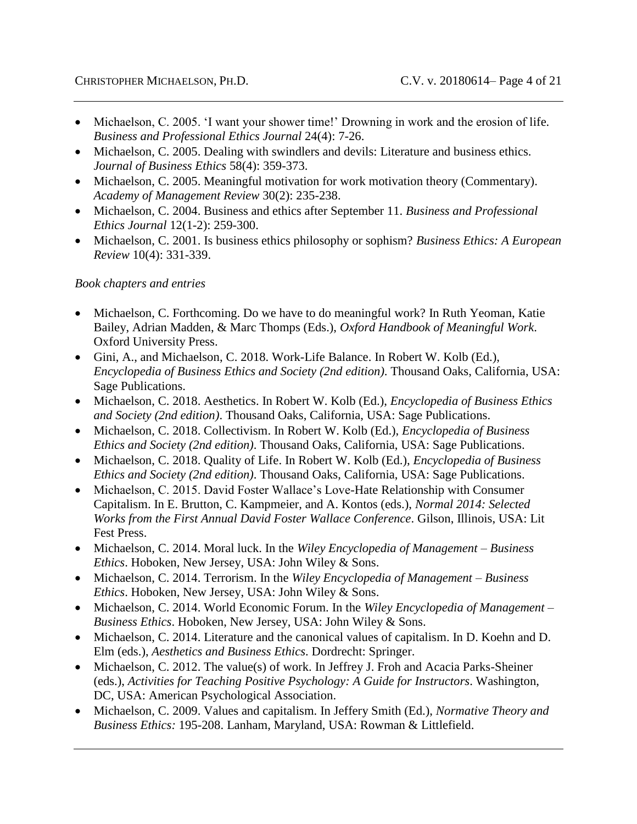- Michaelson, C. 2005. 'I want your shower time!' Drowning in work and the erosion of life. *Business and Professional Ethics Journal* 24(4): 7-26.
- Michaelson, C. 2005. Dealing with swindlers and devils: Literature and business ethics. *Journal of Business Ethics* 58(4): 359-373.
- Michaelson, C. 2005. Meaningful motivation for work motivation theory (Commentary). *Academy of Management Review* 30(2): 235-238.
- Michaelson, C. 2004. Business and ethics after September 11. *Business and Professional Ethics Journal* 12(1-2): 259-300.
- Michaelson, C. 2001. Is business ethics philosophy or sophism? *Business Ethics: A European Review* 10(4): 331-339.

### *Book chapters and entries*

- Michaelson, C. Forthcoming. Do we have to do meaningful work? In Ruth Yeoman, Katie Bailey, Adrian Madden, & Marc Thomps (Eds.), *Oxford Handbook of Meaningful Work*. Oxford University Press.
- Gini, A., and Michaelson, C. 2018. Work-Life Balance. In Robert W. Kolb (Ed.), *Encyclopedia of Business Ethics and Society (2nd edition)*. Thousand Oaks, California, USA: Sage Publications.
- Michaelson, C. 2018. Aesthetics. In Robert W. Kolb (Ed.), *Encyclopedia of Business Ethics and Society (2nd edition)*. Thousand Oaks, California, USA: Sage Publications.
- Michaelson, C. 2018. Collectivism. In Robert W. Kolb (Ed.), *Encyclopedia of Business Ethics and Society (2nd edition)*. Thousand Oaks, California, USA: Sage Publications.
- Michaelson, C. 2018. Quality of Life. In Robert W. Kolb (Ed.), *Encyclopedia of Business Ethics and Society (2nd edition)*. Thousand Oaks, California, USA: Sage Publications.
- Michaelson, C. 2015. David Foster Wallace's Love-Hate Relationship with Consumer Capitalism. In E. Brutton, C. Kampmeier, and A. Kontos (eds.), *Normal 2014: Selected Works from the First Annual David Foster Wallace Conference*. Gilson, Illinois, USA: Lit Fest Press.
- Michaelson, C. 2014. Moral luck. In the *Wiley Encyclopedia of Management – Business Ethics*. Hoboken, New Jersey, USA: John Wiley & Sons.
- Michaelson, C. 2014. Terrorism. In the *Wiley Encyclopedia of Management – Business Ethics*. Hoboken, New Jersey, USA: John Wiley & Sons.
- Michaelson, C. 2014. World Economic Forum. In the *Wiley Encyclopedia of Management – Business Ethics*. Hoboken, New Jersey, USA: John Wiley & Sons.
- Michaelson, C. 2014. Literature and the canonical values of capitalism. In D. Koehn and D. Elm (eds.), *Aesthetics and Business Ethics*. Dordrecht: Springer.
- Michaelson, C. 2012. The value(s) of work. In Jeffrey J. Froh and Acacia Parks-Sheiner (eds.), *Activities for Teaching Positive Psychology: A Guide for Instructors*. Washington, DC, USA: American Psychological Association.
- Michaelson, C. 2009. Values and capitalism. In Jeffery Smith (Ed.), *Normative Theory and Business Ethics:* 195-208. Lanham, Maryland, USA: Rowman & Littlefield.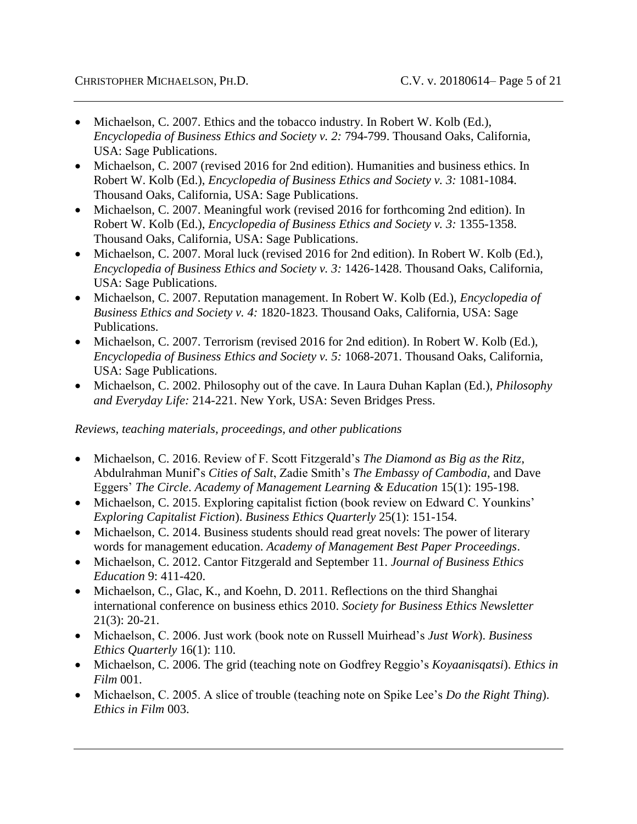- Michaelson, C. 2007. Ethics and the tobacco industry. In Robert W. Kolb (Ed.), *Encyclopedia of Business Ethics and Society v. 2:* 794-799. Thousand Oaks, California, USA: Sage Publications.
- Michaelson, C. 2007 (revised 2016 for 2nd edition). Humanities and business ethics. In Robert W. Kolb (Ed.), *Encyclopedia of Business Ethics and Society v. 3:* 1081-1084. Thousand Oaks, California, USA: Sage Publications.
- Michaelson, C. 2007. Meaningful work (revised 2016 for forthcoming 2nd edition). In Robert W. Kolb (Ed.), *Encyclopedia of Business Ethics and Society v. 3:* 1355-1358. Thousand Oaks, California, USA: Sage Publications.
- Michaelson, C. 2007. Moral luck (revised 2016 for 2nd edition). In Robert W. Kolb (Ed.), *Encyclopedia of Business Ethics and Society v. 3:* 1426-1428. Thousand Oaks, California, USA: Sage Publications.
- Michaelson, C. 2007. Reputation management. In Robert W. Kolb (Ed.), *Encyclopedia of Business Ethics and Society v. 4:* 1820-1823. Thousand Oaks, California, USA: Sage Publications.
- Michaelson, C. 2007. Terrorism (revised 2016 for 2nd edition). In Robert W. Kolb (Ed.), *Encyclopedia of Business Ethics and Society v. 5:* 1068-2071. Thousand Oaks, California, USA: Sage Publications.
- Michaelson, C. 2002. Philosophy out of the cave. In Laura Duhan Kaplan (Ed.), *Philosophy and Everyday Life:* 214-221. New York, USA: Seven Bridges Press.

*Reviews, teaching materials, proceedings, and other publications*

- Michaelson, C. 2016. Review of F. Scott Fitzgerald's *The Diamond as Big as the Ritz*, Abdulrahman Munif's *Cities of Salt*, Zadie Smith's *The Embassy of Cambodia*, and Dave Eggers' *The Circle*. *Academy of Management Learning & Education* 15(1): 195-198.
- Michaelson, C. 2015. Exploring capitalist fiction (book review on Edward C. Younkins' *Exploring Capitalist Fiction*). *Business Ethics Quarterly* 25(1): 151-154.
- Michaelson, C. 2014. Business students should read great novels: The power of literary words for management education. *Academy of Management Best Paper Proceedings*.
- Michaelson, C. 2012. Cantor Fitzgerald and September 11. *Journal of Business Ethics Education* 9: 411-420.
- Michaelson, C., Glac, K., and Koehn, D. 2011. Reflections on the third Shanghai international conference on business ethics 2010. *Society for Business Ethics Newsletter*  21(3): 20-21.
- Michaelson, C. 2006. Just work (book note on Russell Muirhead's *Just Work*). *Business Ethics Quarterly* 16(1): 110.
- Michaelson, C. 2006. The grid (teaching note on Godfrey Reggio's *Koyaanisqatsi*). *Ethics in Film* 001.
- Michaelson, C. 2005. A slice of trouble (teaching note on Spike Lee's *Do the Right Thing*). *Ethics in Film* 003.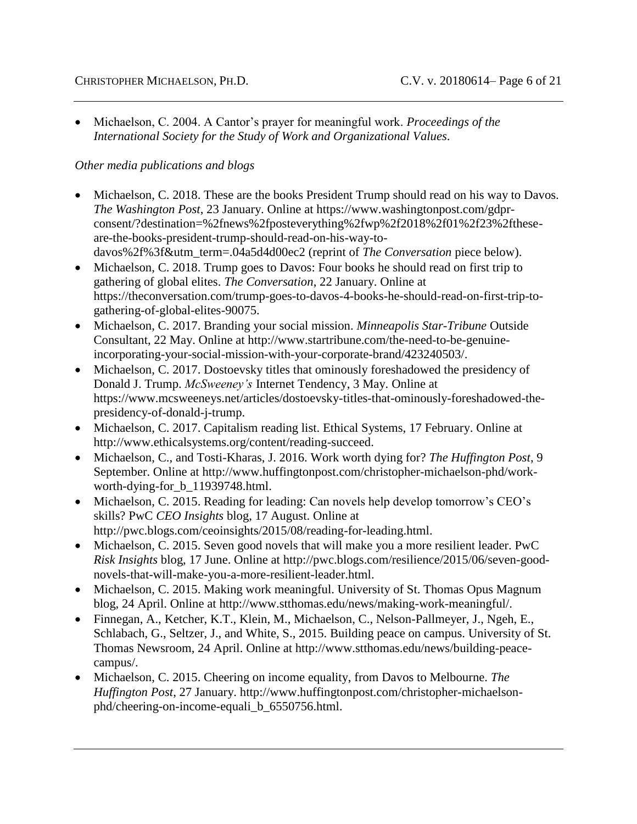Michaelson, C. 2004. A Cantor's prayer for meaningful work. *Proceedings of the International Society for the Study of Work and Organizational Values*.

### *Other media publications and blogs*

- Michaelson, C. 2018. These are the books President Trump should read on his way to Davos. *The Washington Post*, 23 January. Online at https://www.washingtonpost.com/gdprconsent/?destination=%2fnews%2fposteverything%2fwp%2f2018%2f01%2f23%2ftheseare-the-books-president-trump-should-read-on-his-way-todavos%2f%3f&utm\_term=.04a5d4d00ec2 (reprint of *The Conversation* piece below).
- Michaelson, C. 2018. Trump goes to Davos: Four books he should read on first trip to gathering of global elites. *The Conversation*, 22 January. Online at https://theconversation.com/trump-goes-to-davos-4-books-he-should-read-on-first-trip-togathering-of-global-elites-90075.
- Michaelson, C. 2017. Branding your social mission. *Minneapolis Star-Tribune* Outside Consultant, 22 May. Online at http://www.startribune.com/the-need-to-be-genuineincorporating-your-social-mission-with-your-corporate-brand/423240503/.
- Michaelson, C. 2017. Dostoevsky titles that ominously foreshadowed the presidency of Donald J. Trump. *McSweeney's* Internet Tendency, 3 May. Online at https://www.mcsweeneys.net/articles/dostoevsky-titles-that-ominously-foreshadowed-thepresidency-of-donald-j-trump.
- Michaelson, C. 2017. Capitalism reading list. Ethical Systems, 17 February. Online at http://www.ethicalsystems.org/content/reading-succeed.
- Michaelson, C., and Tosti-Kharas, J. 2016. Work worth dying for? *The Huffington Post*, 9 September. Online at http://www.huffingtonpost.com/christopher-michaelson-phd/workworth-dying-for\_b\_11939748.html.
- Michaelson, C. 2015. Reading for leading: Can novels help develop tomorrow's CEO's skills? PwC *CEO Insights* blog, 17 August. Online at http://pwc.blogs.com/ceoinsights/2015/08/reading-for-leading.html.
- Michaelson, C. 2015. Seven good novels that will make you a more resilient leader. PwC *Risk Insights* blog, 17 June. Online at http://pwc.blogs.com/resilience/2015/06/seven-goodnovels-that-will-make-you-a-more-resilient-leader.html.
- Michaelson, C. 2015. Making work meaningful. University of St. Thomas Opus Magnum blog, 24 April. Online at http://www.stthomas.edu/news/making-work-meaningful/.
- Finnegan, A., Ketcher, K.T., Klein, M., Michaelson, C., Nelson-Pallmeyer, J., Ngeh, E., Schlabach, G., Seltzer, J., and White, S., 2015. Building peace on campus. University of St. Thomas Newsroom, 24 April. Online at http://www.stthomas.edu/news/building-peacecampus/.
- Michaelson, C. 2015. Cheering on income equality, from Davos to Melbourne. *The Huffington Post*, 27 January. http://www.huffingtonpost.com/christopher-michaelsonphd/cheering-on-income-equali\_b\_6550756.html.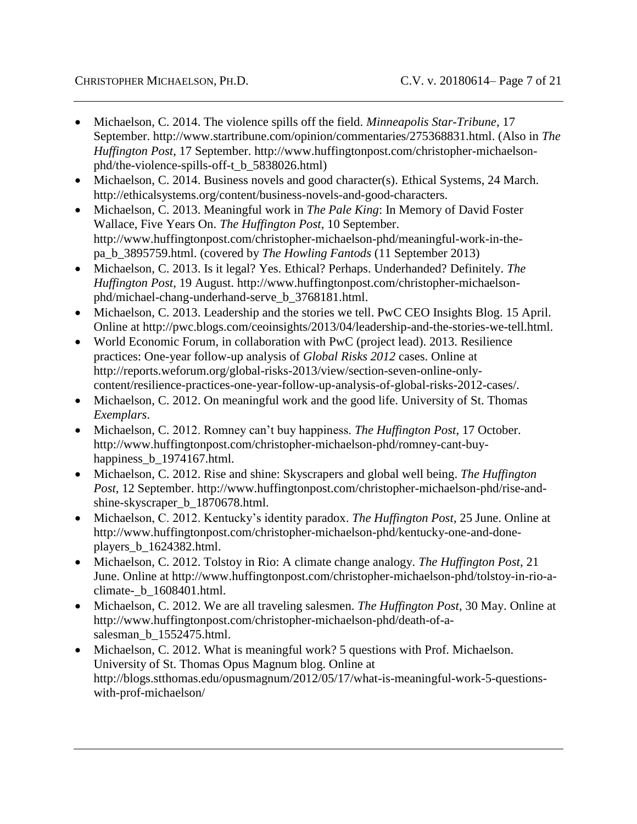- Michaelson, C. 2014. The violence spills off the field. *Minneapolis Star-Tribune*, 17 September. http://www.startribune.com/opinion/commentaries/275368831.html. (Also in *The Huffington Post*, 17 September. http://www.huffingtonpost.com/christopher-michaelsonphd/the-violence-spills-off-t\_b\_5838026.html)
- Michaelson, C. 2014. Business novels and good character(s). Ethical Systems, 24 March. http://ethicalsystems.org/content/business-novels-and-good-characters.
- Michaelson, C. 2013. Meaningful work in *The Pale King*: In Memory of David Foster Wallace, Five Years On. *The Huffington Post*, 10 September. http://www.huffingtonpost.com/christopher-michaelson-phd/meaningful-work-in-thepa\_b\_3895759.html. (covered by *The Howling Fantods* (11 September 2013)
- Michaelson, C. 2013. Is it legal? Yes. Ethical? Perhaps. Underhanded? Definitely. *The Huffington Post*, 19 August. http://www.huffingtonpost.com/christopher-michaelsonphd/michael-chang-underhand-serve\_b\_3768181.html.
- Michaelson, C. 2013. Leadership and the stories we tell. PwC CEO Insights Blog. 15 April. Online at http://pwc.blogs.com/ceoinsights/2013/04/leadership-and-the-stories-we-tell.html.
- World Economic Forum, in collaboration with PwC (project lead). 2013. Resilience practices: One-year follow-up analysis of *Global Risks 2012* cases. Online at http://reports.weforum.org/global-risks-2013/view/section-seven-online-onlycontent/resilience-practices-one-year-follow-up-analysis-of-global-risks-2012-cases/.
- Michaelson, C. 2012. On meaningful work and the good life. University of St. Thomas *Exemplars*.
- Michaelson, C. 2012. Romney can't buy happiness. *The Huffington Post*, 17 October. http://www.huffingtonpost.com/christopher-michaelson-phd/romney-cant-buyhappiness\_b\_1974167.html.
- Michaelson, C. 2012. Rise and shine: Skyscrapers and global well being. *The Huffington Post*, 12 September. http://www.huffingtonpost.com/christopher-michaelson-phd/rise-andshine-skyscraper\_b\_1870678.html.
- Michaelson, C. 2012. Kentucky's identity paradox. *The Huffington Post*, 25 June. Online at http://www.huffingtonpost.com/christopher-michaelson-phd/kentucky-one-and-doneplayers\_b\_1624382.html.
- Michaelson, C. 2012. Tolstoy in Rio: A climate change analogy. *The Huffington Post*, 21 June. Online at http://www.huffingtonpost.com/christopher-michaelson-phd/tolstoy-in-rio-aclimate-\_b\_1608401.html.
- Michaelson, C. 2012. We are all traveling salesmen. *The Huffington Post*, 30 May. Online at http://www.huffingtonpost.com/christopher-michaelson-phd/death-of-asalesman\_b\_1552475.html.
- Michaelson, C. 2012. What is meaningful work? 5 questions with Prof. Michaelson. University of St. Thomas Opus Magnum blog. Online at http://blogs.stthomas.edu/opusmagnum/2012/05/17/what-is-meaningful-work-5-questionswith-prof-michaelson/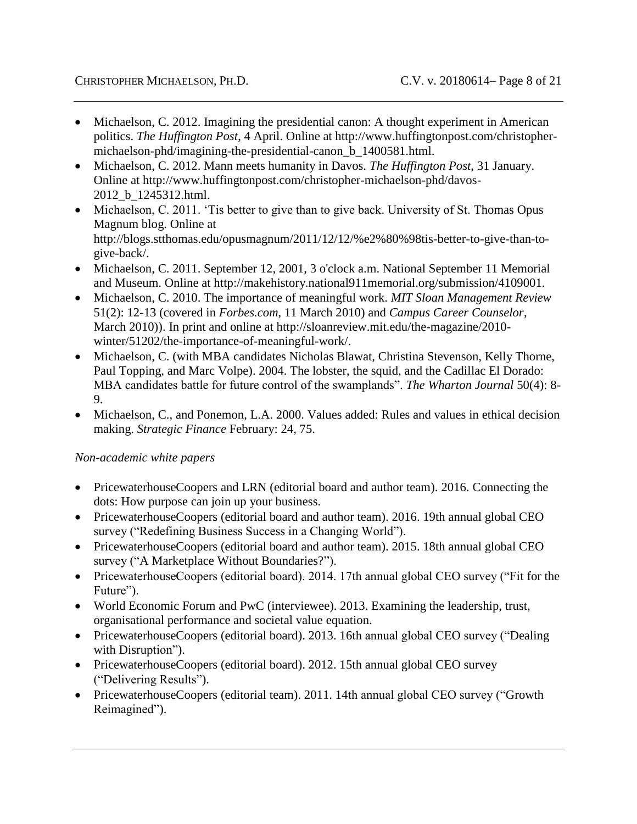- Michaelson, C. 2012. Imagining the presidential canon: A thought experiment in American politics. *The Huffington Post*, 4 April. Online at http://www.huffingtonpost.com/christophermichaelson-phd/imagining-the-presidential-canon\_b\_1400581.html.
- Michaelson, C. 2012. Mann meets humanity in Davos. *The Huffington Post*, 31 January. Online at http://www.huffingtonpost.com/christopher-michaelson-phd/davos-2012\_b\_1245312.html.
- Michaelson, C. 2011. 'Tis better to give than to give back. University of St. Thomas Opus Magnum blog. Online at http://blogs.stthomas.edu/opusmagnum/2011/12/12/%e2%80%98tis-better-to-give-than-togive-back/.
- Michaelson, C. 2011. September 12, 2001, 3 o'clock a.m. National September 11 Memorial and Museum. Online at http://makehistory.national911memorial.org/submission/4109001.
- Michaelson, C. 2010. The importance of meaningful work. *MIT Sloan Management Review* 51(2): 12-13 (covered in *Forbes.com*, 11 March 2010) and *Campus Career Counselor*, March 2010)). In print and online at http://sloanreview.mit.edu/the-magazine/2010 winter/51202/the-importance-of-meaningful-work/.
- Michaelson, C. (with MBA candidates Nicholas Blawat, Christina Stevenson, Kelly Thorne, Paul Topping, and Marc Volpe). 2004. The lobster, the squid, and the Cadillac El Dorado: MBA candidates battle for future control of the swamplands". *The Wharton Journal* 50(4): 8- 9.
- Michaelson, C., and Ponemon, L.A. 2000. Values added: Rules and values in ethical decision making. *Strategic Finance* February: 24, 75.

## *Non-academic white papers*

- PricewaterhouseCoopers and LRN (editorial board and author team). 2016. Connecting the dots: How purpose can join up your business.
- PricewaterhouseCoopers (editorial board and author team). 2016. 19th annual global CEO survey ("Redefining Business Success in a Changing World").
- PricewaterhouseCoopers (editorial board and author team). 2015. 18th annual global CEO survey ("A Marketplace Without Boundaries?").
- PricewaterhouseCoopers (editorial board). 2014. 17th annual global CEO survey ("Fit for the Future").
- World Economic Forum and PwC (interviewee). 2013. Examining the leadership, trust, organisational performance and societal value equation.
- PricewaterhouseCoopers (editorial board). 2013. 16th annual global CEO survey ("Dealing with Disruption").
- PricewaterhouseCoopers (editorial board). 2012. 15th annual global CEO survey ("Delivering Results").
- PricewaterhouseCoopers (editorial team). 2011. 14th annual global CEO survey ("Growth Reimagined").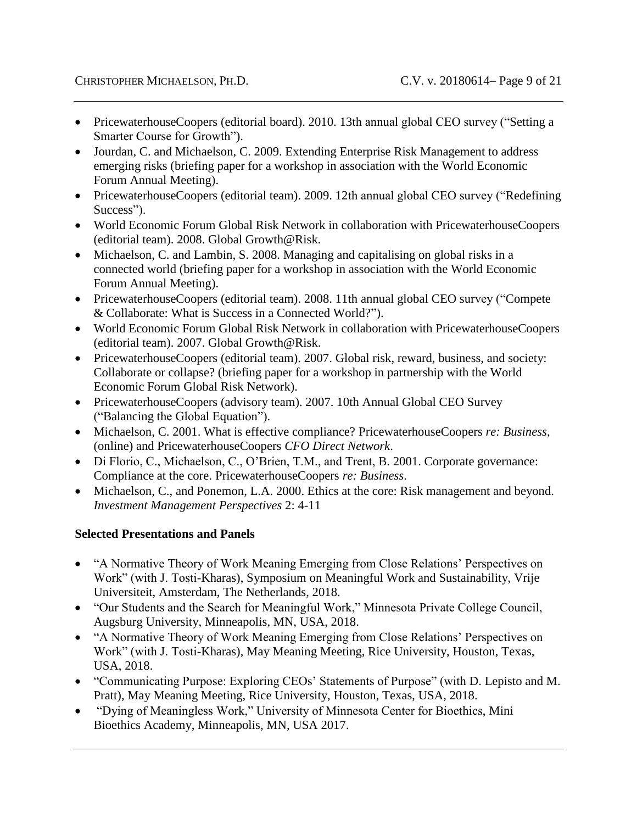- PricewaterhouseCoopers (editorial board). 2010. 13th annual global CEO survey ("Setting a Smarter Course for Growth").
- Jourdan, C. and Michaelson, C. 2009. Extending Enterprise Risk Management to address emerging risks (briefing paper for a workshop in association with the World Economic Forum Annual Meeting).
- PricewaterhouseCoopers (editorial team). 2009. 12th annual global CEO survey ("Redefining Success").
- World Economic Forum Global Risk Network in collaboration with PricewaterhouseCoopers (editorial team). 2008. Global Growth@Risk.
- Michaelson, C. and Lambin, S. 2008. Managing and capitalising on global risks in a connected world (briefing paper for a workshop in association with the World Economic Forum Annual Meeting).
- PricewaterhouseCoopers (editorial team). 2008. 11th annual global CEO survey ("Compete & Collaborate: What is Success in a Connected World?").
- World Economic Forum Global Risk Network in collaboration with PricewaterhouseCoopers (editorial team). 2007. Global Growth@Risk.
- PricewaterhouseCoopers (editorial team). 2007. Global risk, reward, business, and society: Collaborate or collapse? (briefing paper for a workshop in partnership with the World Economic Forum Global Risk Network).
- PricewaterhouseCoopers (advisory team). 2007. 10th Annual Global CEO Survey ("Balancing the Global Equation").
- Michaelson, C. 2001. What is effective compliance? PricewaterhouseCoopers *re: Business*, (online) and PricewaterhouseCoopers *CFO Direct Network*.
- Di Florio, C., Michaelson, C., O'Brien, T.M., and Trent, B. 2001. Corporate governance: Compliance at the core. PricewaterhouseCoopers *re: Business*.
- Michaelson, C., and Ponemon, L.A. 2000. Ethics at the core: Risk management and beyond. *Investment Management Perspectives* 2: 4-11

# **Selected Presentations and Panels**

- "A Normative Theory of Work Meaning Emerging from Close Relations' Perspectives on Work" (with J. Tosti-Kharas), Symposium on Meaningful Work and Sustainability, Vrije Universiteit, Amsterdam, The Netherlands, 2018.
- "Our Students and the Search for Meaningful Work," Minnesota Private College Council, Augsburg University, Minneapolis, MN, USA, 2018.
- "A Normative Theory of Work Meaning Emerging from Close Relations' Perspectives on Work" (with J. Tosti-Kharas), May Meaning Meeting, Rice University, Houston, Texas, USA, 2018.
- "Communicating Purpose: Exploring CEOs' Statements of Purpose" (with D. Lepisto and M. Pratt), May Meaning Meeting, Rice University, Houston, Texas, USA, 2018.
- "Dying of Meaningless Work," University of Minnesota Center for Bioethics, Mini Bioethics Academy, Minneapolis, MN, USA 2017.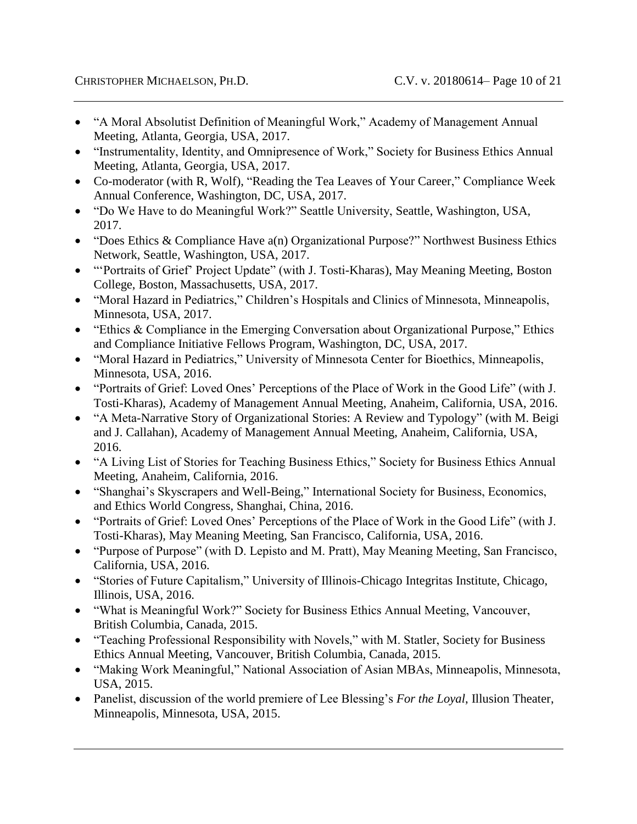- "A Moral Absolutist Definition of Meaningful Work," Academy of Management Annual Meeting, Atlanta, Georgia, USA, 2017.
- "Instrumentality, Identity, and Omnipresence of Work," Society for Business Ethics Annual Meeting, Atlanta, Georgia, USA, 2017.
- Co-moderator (with R, Wolf), "Reading the Tea Leaves of Your Career," Compliance Week Annual Conference, Washington, DC, USA, 2017.
- "Do We Have to do Meaningful Work?" Seattle University, Seattle, Washington, USA, 2017.
- "Does Ethics & Compliance Have a(n) Organizational Purpose?" Northwest Business Ethics Network, Seattle, Washington, USA, 2017.
- "'Portraits of Grief' Project Update" (with J. Tosti-Kharas), May Meaning Meeting, Boston College, Boston, Massachusetts, USA, 2017.
- "Moral Hazard in Pediatrics," Children's Hospitals and Clinics of Minnesota, Minneapolis, Minnesota, USA, 2017.
- "Ethics & Compliance in the Emerging Conversation about Organizational Purpose," Ethics and Compliance Initiative Fellows Program, Washington, DC, USA, 2017.
- "Moral Hazard in Pediatrics," University of Minnesota Center for Bioethics, Minneapolis, Minnesota, USA, 2016.
- "Portraits of Grief: Loved Ones' Perceptions of the Place of Work in the Good Life" (with J. Tosti-Kharas), Academy of Management Annual Meeting, Anaheim, California, USA, 2016.
- "A Meta-Narrative Story of Organizational Stories: A Review and Typology" (with M. Beigi and J. Callahan), Academy of Management Annual Meeting, Anaheim, California, USA, 2016.
- "A Living List of Stories for Teaching Business Ethics," Society for Business Ethics Annual Meeting, Anaheim, California, 2016.
- "Shanghai's Skyscrapers and Well-Being," International Society for Business, Economics, and Ethics World Congress, Shanghai, China, 2016.
- "Portraits of Grief: Loved Ones' Perceptions of the Place of Work in the Good Life" (with J. Tosti-Kharas), May Meaning Meeting, San Francisco, California, USA, 2016.
- "Purpose of Purpose" (with D. Lepisto and M. Pratt), May Meaning Meeting, San Francisco, California, USA, 2016.
- "Stories of Future Capitalism," University of Illinois-Chicago Integritas Institute, Chicago, Illinois, USA, 2016.
- "What is Meaningful Work?" Society for Business Ethics Annual Meeting, Vancouver, British Columbia, Canada, 2015.
- "Teaching Professional Responsibility with Novels," with M. Statler, Society for Business Ethics Annual Meeting, Vancouver, British Columbia, Canada, 2015.
- "Making Work Meaningful," National Association of Asian MBAs, Minneapolis, Minnesota, USA, 2015.
- Panelist, discussion of the world premiere of Lee Blessing's *For the Loyal*, Illusion Theater, Minneapolis, Minnesota, USA, 2015.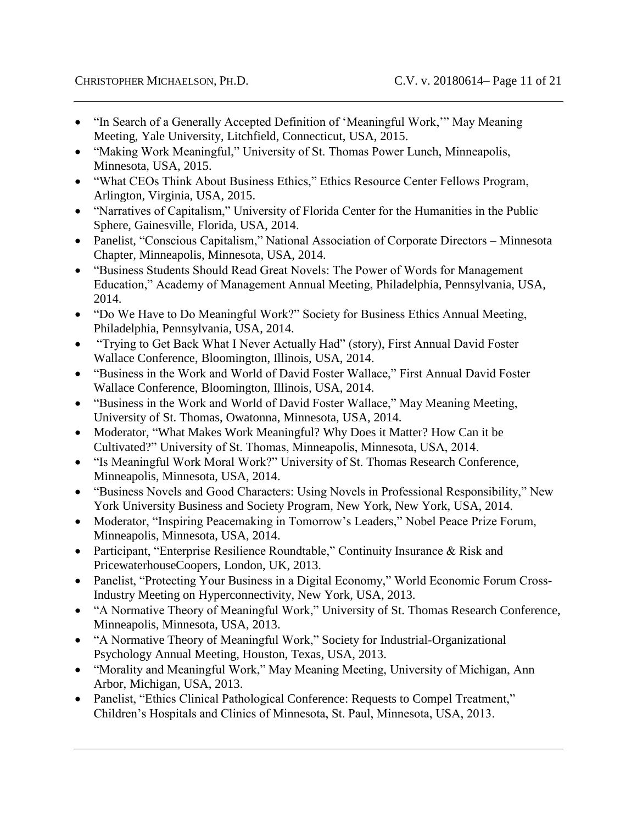- "In Search of a Generally Accepted Definition of 'Meaningful Work," May Meaning Meeting, Yale University, Litchfield, Connecticut, USA, 2015.
- "Making Work Meaningful," University of St. Thomas Power Lunch, Minneapolis, Minnesota, USA, 2015.
- "What CEOs Think About Business Ethics," Ethics Resource Center Fellows Program, Arlington, Virginia, USA, 2015.
- "Narratives of Capitalism," University of Florida Center for the Humanities in the Public Sphere, Gainesville, Florida, USA, 2014.
- Panelist, "Conscious Capitalism," National Association of Corporate Directors Minnesota Chapter, Minneapolis, Minnesota, USA, 2014.
- "Business Students Should Read Great Novels: The Power of Words for Management Education," Academy of Management Annual Meeting, Philadelphia, Pennsylvania, USA, 2014.
- "Do We Have to Do Meaningful Work?" Society for Business Ethics Annual Meeting, Philadelphia, Pennsylvania, USA, 2014.
- "Trying to Get Back What I Never Actually Had" (story), First Annual David Foster Wallace Conference, Bloomington, Illinois, USA, 2014.
- "Business in the Work and World of David Foster Wallace," First Annual David Foster Wallace Conference, Bloomington, Illinois, USA, 2014.
- "Business in the Work and World of David Foster Wallace," May Meaning Meeting, University of St. Thomas, Owatonna, Minnesota, USA, 2014.
- Moderator, "What Makes Work Meaningful? Why Does it Matter? How Can it be Cultivated?" University of St. Thomas, Minneapolis, Minnesota, USA, 2014.
- "Is Meaningful Work Moral Work?" University of St. Thomas Research Conference, Minneapolis, Minnesota, USA, 2014.
- "Business Novels and Good Characters: Using Novels in Professional Responsibility," New York University Business and Society Program, New York, New York, USA, 2014.
- Moderator, "Inspiring Peacemaking in Tomorrow's Leaders," Nobel Peace Prize Forum, Minneapolis, Minnesota, USA, 2014.
- Participant, "Enterprise Resilience Roundtable," Continuity Insurance & Risk and PricewaterhouseCoopers, London, UK, 2013.
- Panelist, "Protecting Your Business in a Digital Economy," World Economic Forum Cross-Industry Meeting on Hyperconnectivity, New York, USA, 2013.
- "A Normative Theory of Meaningful Work," University of St. Thomas Research Conference, Minneapolis, Minnesota, USA, 2013.
- "A Normative Theory of Meaningful Work," Society for Industrial-Organizational Psychology Annual Meeting, Houston, Texas, USA, 2013.
- "Morality and Meaningful Work," May Meaning Meeting, University of Michigan, Ann Arbor, Michigan, USA, 2013.
- Panelist, "Ethics Clinical Pathological Conference: Requests to Compel Treatment," Children's Hospitals and Clinics of Minnesota, St. Paul, Minnesota, USA, 2013.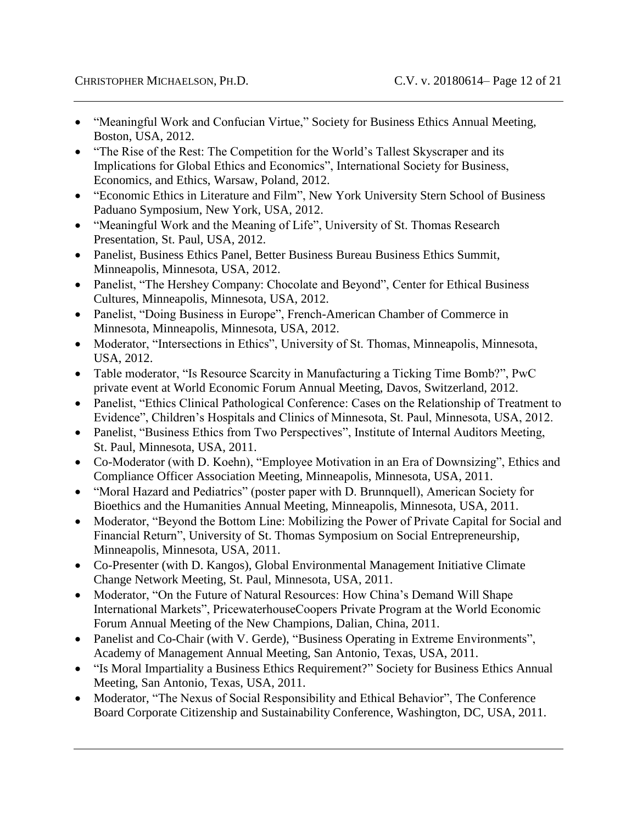- "Meaningful Work and Confucian Virtue," Society for Business Ethics Annual Meeting, Boston, USA, 2012.
- "The Rise of the Rest: The Competition for the World's Tallest Skyscraper and its Implications for Global Ethics and Economics", International Society for Business, Economics, and Ethics, Warsaw, Poland, 2012.
- "Economic Ethics in Literature and Film", New York University Stern School of Business Paduano Symposium, New York, USA, 2012.
- "Meaningful Work and the Meaning of Life", University of St. Thomas Research Presentation, St. Paul, USA, 2012.
- Panelist, Business Ethics Panel, Better Business Bureau Business Ethics Summit, Minneapolis, Minnesota, USA, 2012.
- Panelist, "The Hershey Company: Chocolate and Beyond", Center for Ethical Business Cultures, Minneapolis, Minnesota, USA, 2012.
- Panelist, "Doing Business in Europe", French-American Chamber of Commerce in Minnesota, Minneapolis, Minnesota, USA, 2012.
- Moderator, "Intersections in Ethics", University of St. Thomas, Minneapolis, Minnesota, USA, 2012.
- Table moderator, "Is Resource Scarcity in Manufacturing a Ticking Time Bomb?", PwC private event at World Economic Forum Annual Meeting, Davos, Switzerland, 2012.
- Panelist, "Ethics Clinical Pathological Conference: Cases on the Relationship of Treatment to Evidence", Children's Hospitals and Clinics of Minnesota, St. Paul, Minnesota, USA, 2012.
- Panelist, "Business Ethics from Two Perspectives", Institute of Internal Auditors Meeting, St. Paul, Minnesota, USA, 2011.
- Co-Moderator (with D. Koehn), "Employee Motivation in an Era of Downsizing", Ethics and Compliance Officer Association Meeting, Minneapolis, Minnesota, USA, 2011.
- "Moral Hazard and Pediatrics" (poster paper with D. Brunnquell), American Society for Bioethics and the Humanities Annual Meeting, Minneapolis, Minnesota, USA, 2011.
- Moderator, "Beyond the Bottom Line: Mobilizing the Power of Private Capital for Social and Financial Return", University of St. Thomas Symposium on Social Entrepreneurship, Minneapolis, Minnesota, USA, 2011.
- Co-Presenter (with D. Kangos), Global Environmental Management Initiative Climate Change Network Meeting, St. Paul, Minnesota, USA, 2011.
- Moderator, "On the Future of Natural Resources: How China's Demand Will Shape International Markets", PricewaterhouseCoopers Private Program at the World Economic Forum Annual Meeting of the New Champions, Dalian, China, 2011.
- Panelist and Co-Chair (with V. Gerde), "Business Operating in Extreme Environments", Academy of Management Annual Meeting, San Antonio, Texas, USA, 2011.
- "Is Moral Impartiality a Business Ethics Requirement?" Society for Business Ethics Annual Meeting, San Antonio, Texas, USA, 2011.
- Moderator, "The Nexus of Social Responsibility and Ethical Behavior", The Conference Board Corporate Citizenship and Sustainability Conference, Washington, DC, USA, 2011.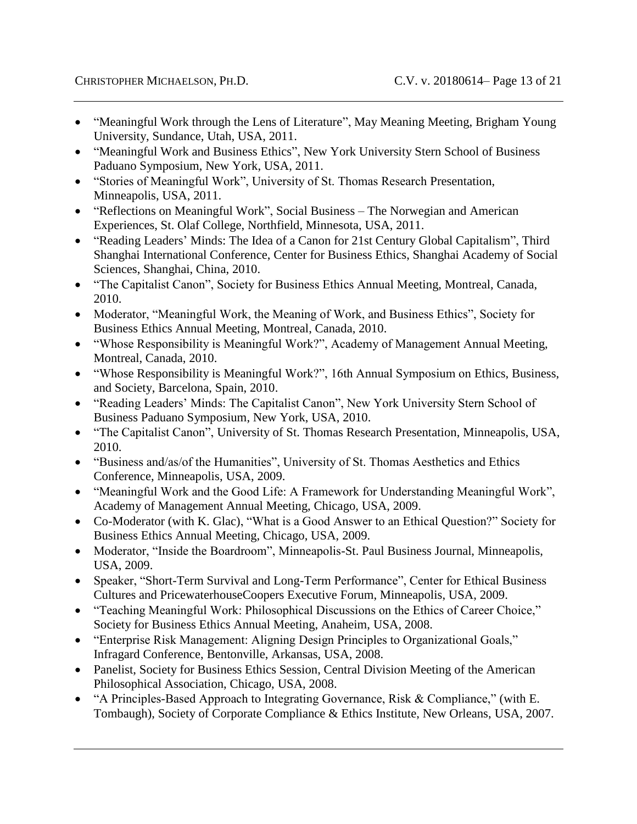- "Meaningful Work through the Lens of Literature", May Meaning Meeting, Brigham Young University, Sundance, Utah, USA, 2011.
- "Meaningful Work and Business Ethics", New York University Stern School of Business Paduano Symposium, New York, USA, 2011.
- "Stories of Meaningful Work", University of St. Thomas Research Presentation, Minneapolis, USA, 2011.
- "Reflections on Meaningful Work", Social Business The Norwegian and American Experiences, St. Olaf College, Northfield, Minnesota, USA, 2011.
- "Reading Leaders' Minds: The Idea of a Canon for 21st Century Global Capitalism", Third Shanghai International Conference, Center for Business Ethics, Shanghai Academy of Social Sciences, Shanghai, China, 2010.
- "The Capitalist Canon", Society for Business Ethics Annual Meeting, Montreal, Canada, 2010.
- Moderator, "Meaningful Work, the Meaning of Work, and Business Ethics", Society for Business Ethics Annual Meeting, Montreal, Canada, 2010.
- "Whose Responsibility is Meaningful Work?", Academy of Management Annual Meeting, Montreal, Canada, 2010.
- "Whose Responsibility is Meaningful Work?", 16th Annual Symposium on Ethics, Business, and Society, Barcelona, Spain, 2010.
- "Reading Leaders' Minds: The Capitalist Canon", New York University Stern School of Business Paduano Symposium, New York, USA, 2010.
- "The Capitalist Canon", University of St. Thomas Research Presentation, Minneapolis, USA, 2010.
- "Business and/as/of the Humanities", University of St. Thomas Aesthetics and Ethics Conference, Minneapolis, USA, 2009.
- "Meaningful Work and the Good Life: A Framework for Understanding Meaningful Work", Academy of Management Annual Meeting, Chicago, USA, 2009.
- Co-Moderator (with K. Glac), "What is a Good Answer to an Ethical Question?" Society for Business Ethics Annual Meeting, Chicago, USA, 2009.
- Moderator, "Inside the Boardroom", Minneapolis-St. Paul Business Journal, Minneapolis, USA, 2009.
- Speaker, "Short-Term Survival and Long-Term Performance", Center for Ethical Business Cultures and PricewaterhouseCoopers Executive Forum, Minneapolis, USA, 2009.
- "Teaching Meaningful Work: Philosophical Discussions on the Ethics of Career Choice," Society for Business Ethics Annual Meeting, Anaheim, USA, 2008.
- "Enterprise Risk Management: Aligning Design Principles to Organizational Goals," Infragard Conference, Bentonville, Arkansas, USA, 2008.
- Panelist, Society for Business Ethics Session, Central Division Meeting of the American Philosophical Association, Chicago, USA, 2008.
- "A Principles-Based Approach to Integrating Governance, Risk & Compliance," (with E. Tombaugh), Society of Corporate Compliance & Ethics Institute, New Orleans, USA, 2007.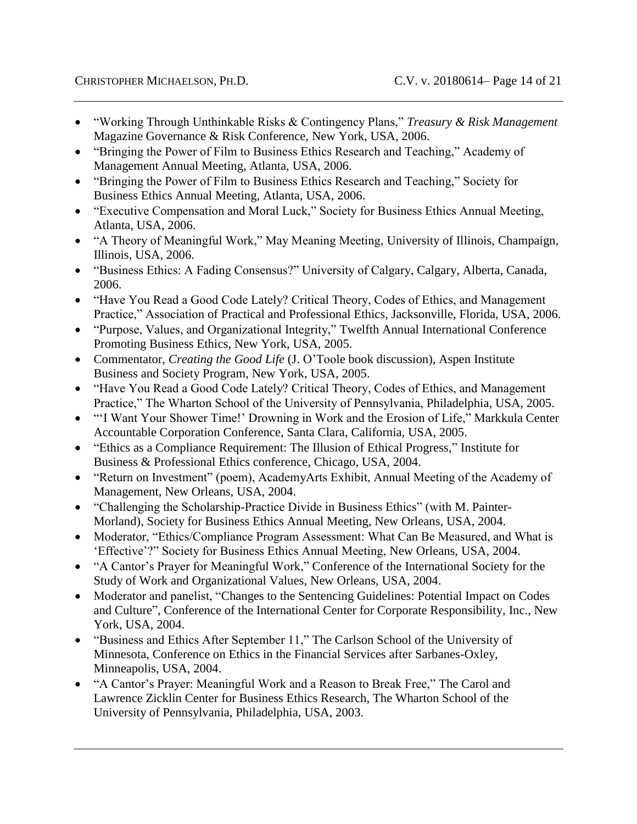- "Working Through Unthinkable Risks & Contingency Plans," *Treasury & Risk Management* Magazine Governance & Risk Conference, New York, USA, 2006.
- "Bringing the Power of Film to Business Ethics Research and Teaching," Academy of Management Annual Meeting, Atlanta, USA, 2006.
- "Bringing the Power of Film to Business Ethics Research and Teaching," Society for Business Ethics Annual Meeting, Atlanta, USA, 2006.
- "Executive Compensation and Moral Luck," Society for Business Ethics Annual Meeting, Atlanta, USA, 2006.
- "A Theory of Meaningful Work," May Meaning Meeting, University of Illinois, Champaign, Illinois, USA, 2006.
- "Business Ethics: A Fading Consensus?" University of Calgary, Calgary, Alberta, Canada, 2006.
- "Have You Read a Good Code Lately? Critical Theory, Codes of Ethics, and Management Practice," Association of Practical and Professional Ethics, Jacksonville, Florida, USA, 2006.
- "Purpose, Values, and Organizational Integrity," Twelfth Annual International Conference Promoting Business Ethics, New York, USA, 2005.
- Commentator, *Creating the Good Life* (J. O'Toole book discussion), Aspen Institute Business and Society Program, New York, USA, 2005.
- "Have You Read a Good Code Lately? Critical Theory, Codes of Ethics, and Management Practice," The Wharton School of the University of Pennsylvania, Philadelphia, USA, 2005.
- "'I Want Your Shower Time!' Drowning in Work and the Erosion of Life," Markkula Center Accountable Corporation Conference, Santa Clara, California, USA, 2005.
- "Ethics as a Compliance Requirement: The Illusion of Ethical Progress," Institute for Business & Professional Ethics conference, Chicago, USA, 2004.
- "Return on Investment" (poem), AcademyArts Exhibit, Annual Meeting of the Academy of Management, New Orleans, USA, 2004.
- "Challenging the Scholarship-Practice Divide in Business Ethics" (with M. Painter-Morland), Society for Business Ethics Annual Meeting, New Orleans, USA, 2004.
- Moderator, "Ethics/Compliance Program Assessment: What Can Be Measured, and What is 'Effective'?" Society for Business Ethics Annual Meeting, New Orleans, USA, 2004.
- "A Cantor's Prayer for Meaningful Work," Conference of the International Society for the Study of Work and Organizational Values, New Orleans, USA, 2004.
- Moderator and panelist, "Changes to the Sentencing Guidelines: Potential Impact on Codes and Culture", Conference of the International Center for Corporate Responsibility, Inc., New York, USA, 2004.
- "Business and Ethics After September 11," The Carlson School of the University of Minnesota, Conference on Ethics in the Financial Services after Sarbanes-Oxley, Minneapolis, USA, 2004.
- "A Cantor's Prayer: Meaningful Work and a Reason to Break Free," The Carol and Lawrence Zicklin Center for Business Ethics Research, The Wharton School of the University of Pennsylvania, Philadelphia, USA, 2003.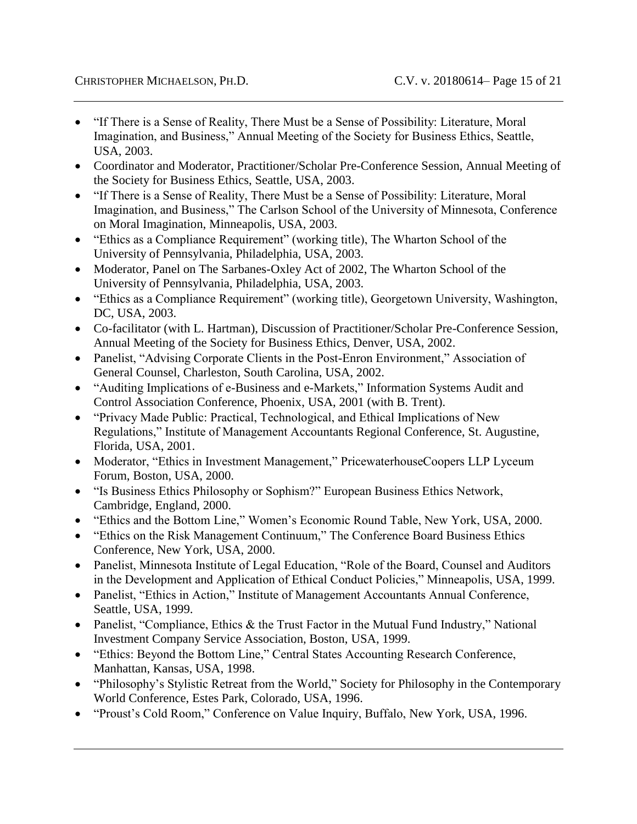- "If There is a Sense of Reality, There Must be a Sense of Possibility: Literature, Moral Imagination, and Business," Annual Meeting of the Society for Business Ethics, Seattle, USA, 2003.
- Coordinator and Moderator, Practitioner/Scholar Pre-Conference Session, Annual Meeting of the Society for Business Ethics, Seattle, USA, 2003.
- "If There is a Sense of Reality, There Must be a Sense of Possibility: Literature, Moral Imagination, and Business," The Carlson School of the University of Minnesota, Conference on Moral Imagination, Minneapolis, USA, 2003.
- "Ethics as a Compliance Requirement" (working title), The Wharton School of the University of Pennsylvania, Philadelphia, USA, 2003.
- Moderator, Panel on The Sarbanes-Oxley Act of 2002, The Wharton School of the University of Pennsylvania, Philadelphia, USA, 2003.
- "Ethics as a Compliance Requirement" (working title), Georgetown University, Washington, DC, USA, 2003.
- Co-facilitator (with L. Hartman), Discussion of Practitioner/Scholar Pre-Conference Session, Annual Meeting of the Society for Business Ethics, Denver, USA, 2002.
- Panelist, "Advising Corporate Clients in the Post-Enron Environment," Association of General Counsel, Charleston, South Carolina, USA, 2002.
- "Auditing Implications of e-Business and e-Markets," Information Systems Audit and Control Association Conference, Phoenix, USA, 2001 (with B. Trent).
- "Privacy Made Public: Practical, Technological, and Ethical Implications of New Regulations," Institute of Management Accountants Regional Conference, St. Augustine, Florida, USA, 2001.
- Moderator, "Ethics in Investment Management," PricewaterhouseCoopers LLP Lyceum Forum, Boston, USA, 2000.
- "Is Business Ethics Philosophy or Sophism?" European Business Ethics Network, Cambridge, England, 2000.
- "Ethics and the Bottom Line," Women's Economic Round Table, New York, USA, 2000.
- "Ethics on the Risk Management Continuum," The Conference Board Business Ethics Conference, New York, USA, 2000.
- Panelist, Minnesota Institute of Legal Education, "Role of the Board, Counsel and Auditors in the Development and Application of Ethical Conduct Policies," Minneapolis, USA, 1999.
- Panelist, "Ethics in Action," Institute of Management Accountants Annual Conference, Seattle, USA, 1999.
- Panelist, "Compliance, Ethics & the Trust Factor in the Mutual Fund Industry," National Investment Company Service Association, Boston, USA, 1999.
- "Ethics: Beyond the Bottom Line," Central States Accounting Research Conference, Manhattan, Kansas, USA, 1998.
- "Philosophy's Stylistic Retreat from the World," Society for Philosophy in the Contemporary World Conference, Estes Park, Colorado, USA, 1996.
- "Proust's Cold Room," Conference on Value Inquiry, Buffalo, New York, USA, 1996.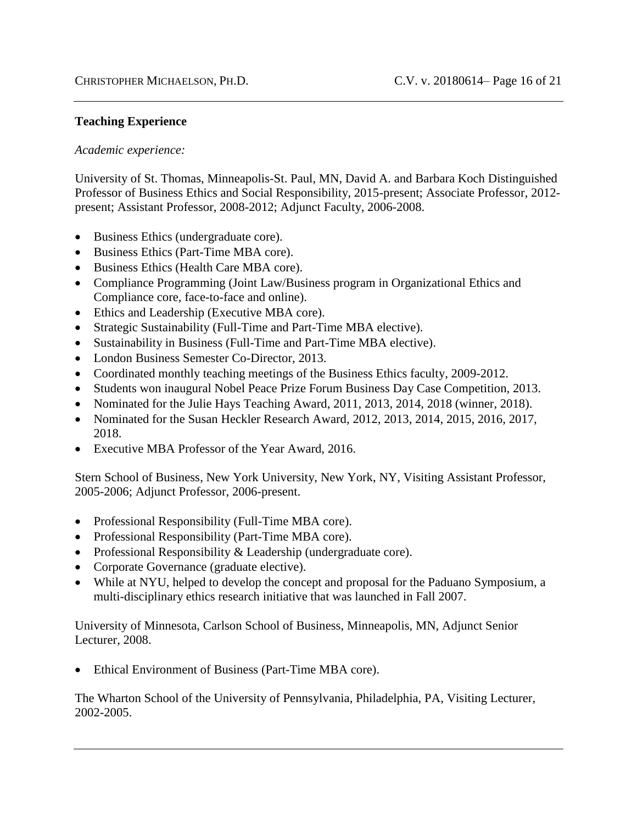#### **Teaching Experience**

#### *Academic experience:*

University of St. Thomas, Minneapolis-St. Paul, MN, David A. and Barbara Koch Distinguished Professor of Business Ethics and Social Responsibility, 2015-present; Associate Professor, 2012 present; Assistant Professor, 2008-2012; Adjunct Faculty, 2006-2008.

- Business Ethics (undergraduate core).
- Business Ethics (Part-Time MBA core).
- Business Ethics (Health Care MBA core).
- Compliance Programming (Joint Law/Business program in Organizational Ethics and Compliance core, face-to-face and online).
- Ethics and Leadership (Executive MBA core).
- Strategic Sustainability (Full-Time and Part-Time MBA elective).
- Sustainability in Business (Full-Time and Part-Time MBA elective).
- London Business Semester Co-Director, 2013.
- Coordinated monthly teaching meetings of the Business Ethics faculty, 2009-2012.
- Students won inaugural Nobel Peace Prize Forum Business Day Case Competition, 2013.
- Nominated for the Julie Hays Teaching Award, 2011, 2013, 2014, 2018 (winner, 2018).
- Nominated for the Susan Heckler Research Award, 2012, 2013, 2014, 2015, 2016, 2017, 2018.
- Executive MBA Professor of the Year Award, 2016.

Stern School of Business, New York University, New York, NY, Visiting Assistant Professor, 2005-2006; Adjunct Professor, 2006-present.

- Professional Responsibility (Full-Time MBA core).
- Professional Responsibility (Part-Time MBA core).
- Professional Responsibility & Leadership (undergraduate core).
- Corporate Governance (graduate elective).
- While at NYU, helped to develop the concept and proposal for the Paduano Symposium, a multi-disciplinary ethics research initiative that was launched in Fall 2007.

University of Minnesota, Carlson School of Business, Minneapolis, MN, Adjunct Senior Lecturer, 2008.

Ethical Environment of Business (Part-Time MBA core).

The Wharton School of the University of Pennsylvania, Philadelphia, PA, Visiting Lecturer, 2002-2005.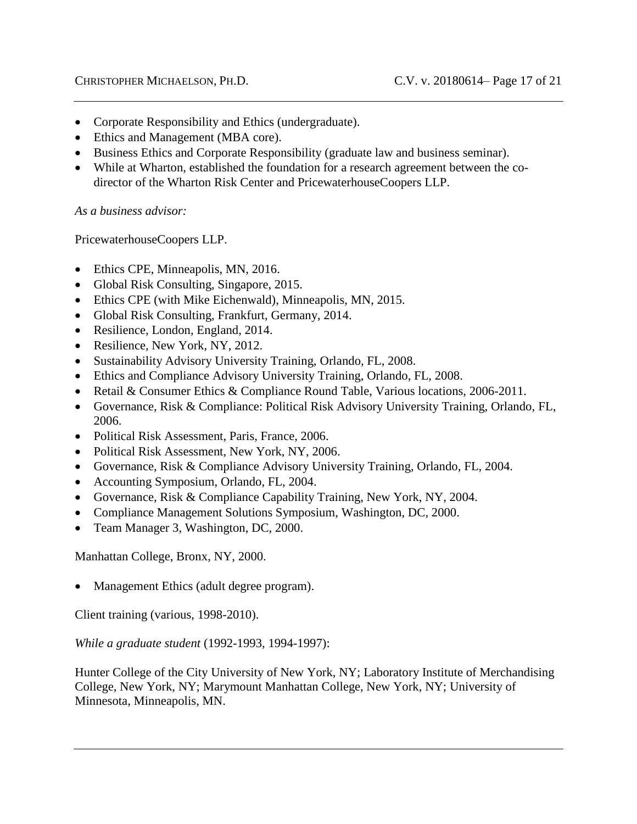- Corporate Responsibility and Ethics (undergraduate).
- Ethics and Management (MBA core).
- Business Ethics and Corporate Responsibility (graduate law and business seminar).
- While at Wharton, established the foundation for a research agreement between the codirector of the Wharton Risk Center and PricewaterhouseCoopers LLP.

*As a business advisor:*

PricewaterhouseCoopers LLP.

- Ethics CPE, Minneapolis, MN, 2016.
- Global Risk Consulting, Singapore, 2015.
- Ethics CPE (with Mike Eichenwald), Minneapolis, MN, 2015.
- Global Risk Consulting, Frankfurt, Germany, 2014.
- Resilience, London, England, 2014.
- Resilience, New York, NY, 2012.
- Sustainability Advisory University Training, Orlando, FL, 2008.
- Ethics and Compliance Advisory University Training, Orlando, FL, 2008.
- Retail & Consumer Ethics & Compliance Round Table, Various locations, 2006-2011.
- Governance, Risk & Compliance: Political Risk Advisory University Training, Orlando, FL, 2006.
- Political Risk Assessment, Paris, France, 2006.
- Political Risk Assessment, New York, NY, 2006.
- Governance, Risk & Compliance Advisory University Training, Orlando, FL, 2004.
- Accounting Symposium, Orlando, FL, 2004.
- Governance, Risk & Compliance Capability Training, New York, NY, 2004.
- Compliance Management Solutions Symposium, Washington, DC, 2000.
- Team Manager 3, Washington, DC, 2000.

Manhattan College, Bronx, NY, 2000.

Management Ethics (adult degree program).

Client training (various, 1998-2010).

*While a graduate student* (1992-1993, 1994-1997):

Hunter College of the City University of New York, NY; Laboratory Institute of Merchandising College, New York, NY; Marymount Manhattan College, New York, NY; University of Minnesota, Minneapolis, MN.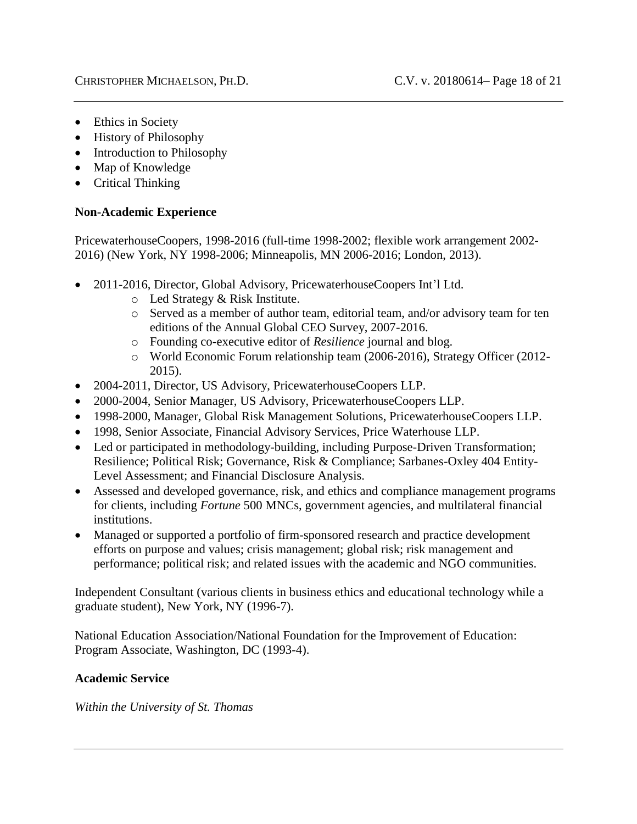- Ethics in Society
- History of Philosophy
- Introduction to Philosophy
- Map of Knowledge
- Critical Thinking

## **Non-Academic Experience**

PricewaterhouseCoopers, 1998-2016 (full-time 1998-2002; flexible work arrangement 2002- 2016) (New York, NY 1998-2006; Minneapolis, MN 2006-2016; London, 2013).

- 2011-2016, Director, Global Advisory, PricewaterhouseCoopers Int'l Ltd.
	- o Led Strategy & Risk Institute.
	- o Served as a member of author team, editorial team, and/or advisory team for ten editions of the Annual Global CEO Survey, 2007-2016.
	- o Founding co-executive editor of *Resilience* journal and blog.
	- o World Economic Forum relationship team (2006-2016), Strategy Officer (2012- 2015).
- 2004-2011, Director, US Advisory, PricewaterhouseCoopers LLP.
- 2000-2004, Senior Manager, US Advisory, PricewaterhouseCoopers LLP.
- 1998-2000, Manager, Global Risk Management Solutions, PricewaterhouseCoopers LLP.
- 1998, Senior Associate, Financial Advisory Services, Price Waterhouse LLP.
- Led or participated in methodology-building, including Purpose-Driven Transformation; Resilience; Political Risk; Governance, Risk & Compliance; Sarbanes-Oxley 404 Entity-Level Assessment; and Financial Disclosure Analysis.
- Assessed and developed governance, risk, and ethics and compliance management programs for clients, including *Fortune* 500 MNCs, government agencies, and multilateral financial institutions.
- Managed or supported a portfolio of firm-sponsored research and practice development efforts on purpose and values; crisis management; global risk; risk management and performance; political risk; and related issues with the academic and NGO communities.

Independent Consultant (various clients in business ethics and educational technology while a graduate student), New York, NY (1996-7).

National Education Association/National Foundation for the Improvement of Education: Program Associate, Washington, DC (1993-4).

# **Academic Service**

*Within the University of St. Thomas*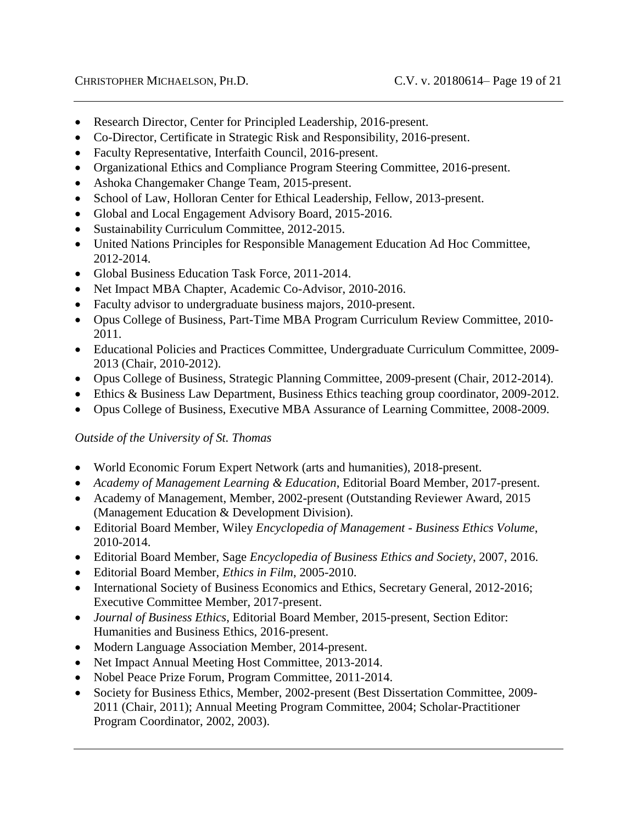- Research Director, Center for Principled Leadership, 2016-present.
- Co-Director, Certificate in Strategic Risk and Responsibility, 2016-present.
- Faculty Representative, Interfaith Council, 2016-present.
- Organizational Ethics and Compliance Program Steering Committee, 2016-present.
- Ashoka Changemaker Change Team, 2015-present.
- School of Law, Holloran Center for Ethical Leadership, Fellow, 2013-present.
- Global and Local Engagement Advisory Board, 2015-2016.
- Sustainability Curriculum Committee, 2012-2015.
- United Nations Principles for Responsible Management Education Ad Hoc Committee, 2012-2014.
- Global Business Education Task Force, 2011-2014.
- Net Impact MBA Chapter, Academic Co-Advisor, 2010-2016.
- Faculty advisor to undergraduate business majors, 2010-present.
- Opus College of Business, Part-Time MBA Program Curriculum Review Committee, 2010- 2011.
- Educational Policies and Practices Committee, Undergraduate Curriculum Committee, 2009- 2013 (Chair, 2010-2012).
- Opus College of Business, Strategic Planning Committee, 2009-present (Chair, 2012-2014).
- Ethics & Business Law Department, Business Ethics teaching group coordinator, 2009-2012.
- Opus College of Business, Executive MBA Assurance of Learning Committee, 2008-2009.

### *Outside of the University of St. Thomas*

- World Economic Forum Expert Network (arts and humanities), 2018-present.
- *Academy of Management Learning & Education*, Editorial Board Member, 2017-present.
- Academy of Management, Member, 2002-present (Outstanding Reviewer Award, 2015 (Management Education & Development Division).
- Editorial Board Member, Wiley *Encyclopedia of Management - Business Ethics Volume*, 2010-2014.
- Editorial Board Member, Sage *Encyclopedia of Business Ethics and Society*, 2007, 2016.
- Editorial Board Member, *Ethics in Film*, 2005-2010.
- International Society of Business Economics and Ethics, Secretary General, 2012-2016; Executive Committee Member, 2017-present.
- *Journal of Business Ethics*, Editorial Board Member, 2015-present, Section Editor: Humanities and Business Ethics, 2016-present.
- Modern Language Association Member, 2014-present.
- Net Impact Annual Meeting Host Committee, 2013-2014.
- Nobel Peace Prize Forum, Program Committee, 2011-2014.
- Society for Business Ethics, Member, 2002-present (Best Dissertation Committee, 2009- 2011 (Chair, 2011); Annual Meeting Program Committee, 2004; Scholar-Practitioner Program Coordinator, 2002, 2003).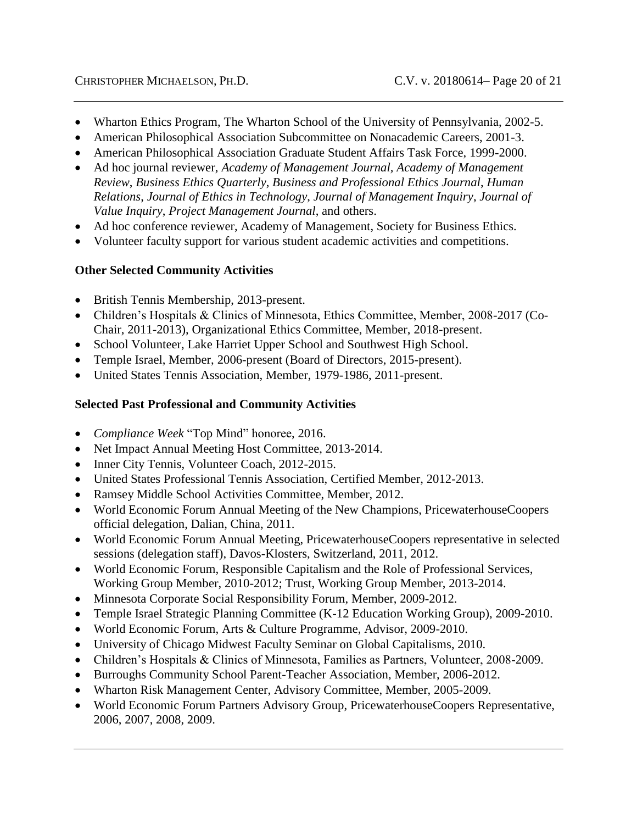- Wharton Ethics Program, The Wharton School of the University of Pennsylvania, 2002-5.
- American Philosophical Association Subcommittee on Nonacademic Careers, 2001-3.
- American Philosophical Association Graduate Student Affairs Task Force, 1999-2000.
- Ad hoc journal reviewer, *Academy of Management Journal, Academy of Management Review*, *Business Ethics Quarterly*, *Business and Professional Ethics Journal*, *Human Relations*, *Journal of Ethics in Technology*, *Journal of Management Inquiry*, *Journal of Value Inquiry*, *Project Management Journal*, and others.
- Ad hoc conference reviewer, Academy of Management, Society for Business Ethics.
- Volunteer faculty support for various student academic activities and competitions.

# **Other Selected Community Activities**

- British Tennis Membership, 2013-present.
- Children's Hospitals & Clinics of Minnesota, Ethics Committee, Member, 2008-2017 (Co-Chair, 2011-2013), Organizational Ethics Committee, Member, 2018-present.
- School Volunteer, Lake Harriet Upper School and Southwest High School.
- Temple Israel, Member, 2006-present (Board of Directors, 2015-present).
- United States Tennis Association, Member, 1979-1986, 2011-present.

## **Selected Past Professional and Community Activities**

- *Compliance Week* "Top Mind" honoree, 2016.
- Net Impact Annual Meeting Host Committee, 2013-2014.
- Inner City Tennis, Volunteer Coach, 2012-2015.
- United States Professional Tennis Association, Certified Member, 2012-2013.
- Ramsey Middle School Activities Committee, Member, 2012.
- World Economic Forum Annual Meeting of the New Champions, PricewaterhouseCoopers official delegation, Dalian, China, 2011.
- World Economic Forum Annual Meeting, PricewaterhouseCoopers representative in selected sessions (delegation staff), Davos-Klosters, Switzerland, 2011, 2012.
- World Economic Forum, Responsible Capitalism and the Role of Professional Services, Working Group Member, 2010-2012; Trust, Working Group Member, 2013-2014.
- Minnesota Corporate Social Responsibility Forum, Member, 2009-2012.
- Temple Israel Strategic Planning Committee (K-12 Education Working Group), 2009-2010.
- World Economic Forum, Arts & Culture Programme, Advisor, 2009-2010.
- University of Chicago Midwest Faculty Seminar on Global Capitalisms, 2010.
- Children's Hospitals & Clinics of Minnesota, Families as Partners, Volunteer, 2008-2009.
- Burroughs Community School Parent-Teacher Association, Member, 2006-2012.
- Wharton Risk Management Center, Advisory Committee, Member, 2005-2009.
- World Economic Forum Partners Advisory Group, PricewaterhouseCoopers Representative, 2006, 2007, 2008, 2009.